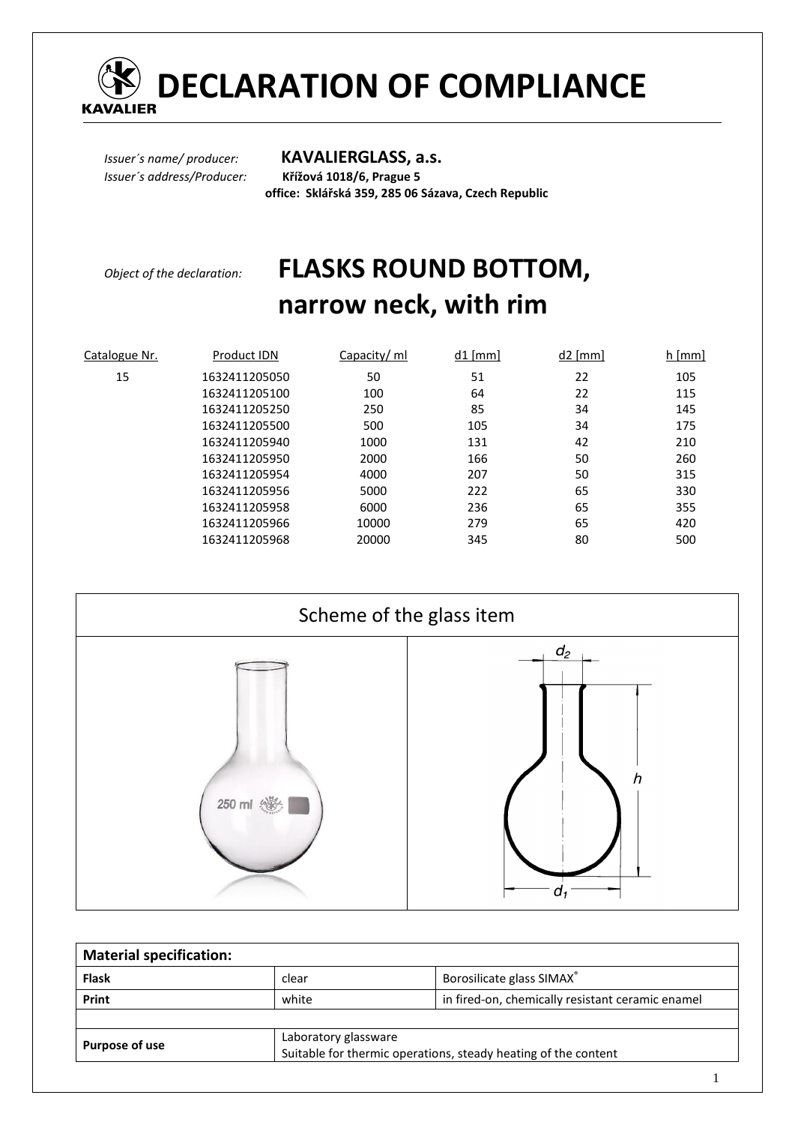

# *COMPLIANCE*<br>KAVALIER

*Issuer´s name/ producer:* **KAVALIERGLASS, a.s.** *Issuer´s address/Producer:* **Křížová 1018/6, Prague 5** 

 **office: Sklářská 359, 285 06 Sázava, Czech Republic** 

## *Object of the declaration:* **FLASKS ROUND BOTTOM, narrow neck, with rim**

| Catalogue Nr. | Product IDN   | Capacity/ ml | $d1$ [mm] | $d2$ [mm] | $h$ [mm] |
|---------------|---------------|--------------|-----------|-----------|----------|
| 15            | 1632411205050 | 50           | 51        | 22        | 105      |
|               | 1632411205100 | 100          | 64        | 22        | 115      |
|               | 1632411205250 | 250          | 85        | 34        | 145      |
|               | 1632411205500 | 500          | 105       | 34        | 175      |
|               | 1632411205940 | 1000         | 131       | 42        | 210      |
|               | 1632411205950 | 2000         | 166       | 50        | 260      |
|               | 1632411205954 | 4000         | 207       | 50        | 315      |
|               | 1632411205956 | 5000         | 222       | 65        | 330      |
|               | 1632411205958 | 6000         | 236       | 65        | 355      |
|               | 1632411205966 | 10000        | 279       | 65        | 420      |
|               | 1632411205968 | 20000        | 345       | 80        | 500      |



| <b>Material specification:</b> |                                                                                        |                                                  |  |
|--------------------------------|----------------------------------------------------------------------------------------|--------------------------------------------------|--|
| <b>Flask</b>                   | clear                                                                                  | Borosilicate glass SIMAX®                        |  |
| Print                          | white                                                                                  | in fired-on, chemically resistant ceramic enamel |  |
|                                |                                                                                        |                                                  |  |
| Purpose of use                 | Laboratory glassware<br>Suitable for thermic operations, steady heating of the content |                                                  |  |

1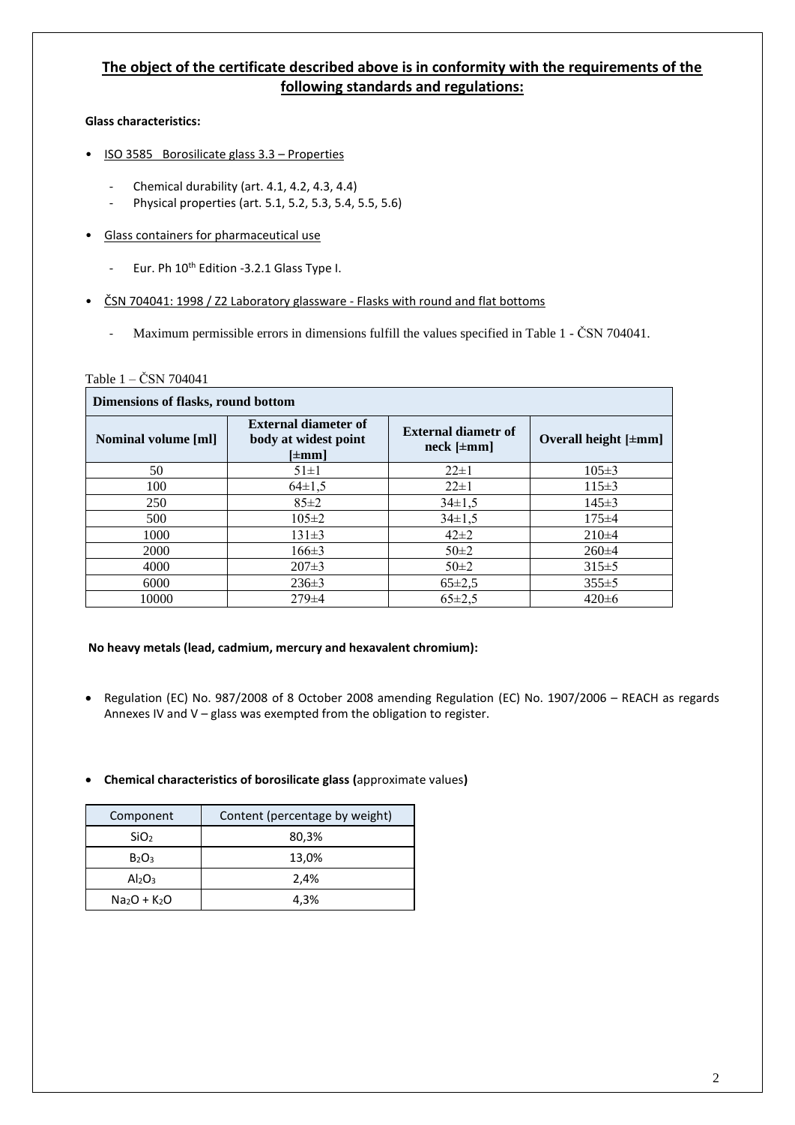### **The object of the certificate described above is in conformity with the requirements of the following standards and regulations:**

#### **Glass characteristics:**

- ISO 3585 Borosilicate glass 3.3 Properties
	- Chemical durability (art. 4.1, 4.2, 4.3, 4.4)
	- Physical properties (art. 5.1, 5.2, 5.3, 5.4, 5.5, 5.6)
- Glass containers for pharmaceutical use
	- Eur. Ph 10<sup>th</sup> Edition -3.2.1 Glass Type I.
- ČSN 704041: 1998 / Z2 Laboratory glassware Flasks with round and flat bottoms
	- Maximum permissible errors in dimensions fulfill the values specified in Table 1 ČSN 704041.

#### Table 1 – ČSN 704041

| Dimensions of flasks, round bottom |                                                                          |                                                  |                           |  |
|------------------------------------|--------------------------------------------------------------------------|--------------------------------------------------|---------------------------|--|
| <b>Nominal volume [ml]</b>         | <b>External diameter of</b><br>body at widest point<br>$[\pm \text{mm}]$ | <b>External diametr of</b><br>$neck$ [ $\pm$ mm] | Overall height $[\pm mm]$ |  |
| 50                                 | $51 \pm 1$                                                               | $22 \pm 1$                                       | $105 \pm 3$               |  |
| 100                                | $64 \pm 1.5$                                                             | $22 \pm 1$                                       | $115 \pm 3$               |  |
| 250                                | $85 \pm 2$                                                               | $34\pm1.5$                                       | $145 \pm 3$               |  |
| 500                                | $105 \pm 2$                                                              | $34 \pm 1.5$                                     | $175 \pm 4$               |  |
| 1000                               | $131\pm3$                                                                | $42\pm2$                                         | $210\pm4$                 |  |
| 2000                               | $166 \pm 3$                                                              | $50 \pm 2$                                       | $260 \pm 4$               |  |
| 4000                               | $207\pm3$                                                                | $50\pm2$                                         | $315 \pm 5$               |  |
| 6000                               | $236\pm3$                                                                | $65 \pm 2.5$                                     | $355 \pm 5$               |  |
| 10000                              | $279 \pm 4$                                                              | $65 \pm 2.5$                                     | $420\pm 6$                |  |

#### **No heavy metals (lead, cadmium, mercury and hexavalent chromium):**

• Regulation (EC) No. 987/2008 of 8 October 2008 amending Regulation (EC) No. 1907/2006 – REACH as regards Annexes IV and V – glass was exempted from the obligation to register.

#### • **Chemical characteristics of borosilicate glass (**approximate values**)**

| Component                      | Content (percentage by weight) |  |
|--------------------------------|--------------------------------|--|
| SiO <sub>2</sub>               | 80,3%                          |  |
| $B_2O_3$                       | 13,0%                          |  |
| Al <sub>2</sub> O <sub>3</sub> | 2,4%                           |  |
| $Na2O + K2O$                   | 4,3%                           |  |